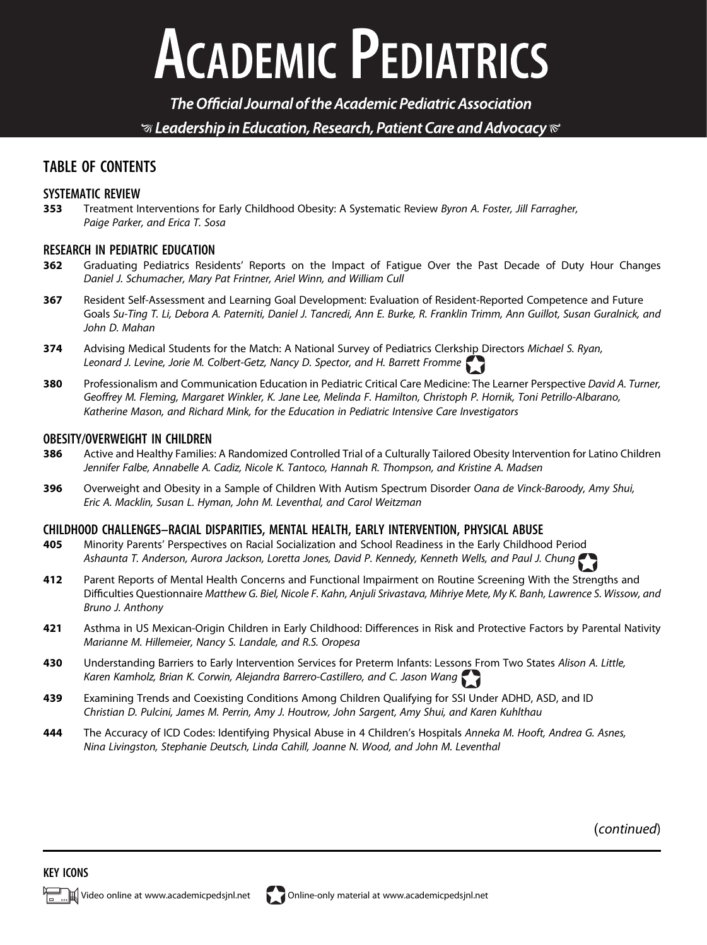# **ACADEMIC PEDIATRICS**

The Official Journal of the Academic Pediatric Association  $\mathcal G$  Leadership in Education, Research, Patient Care and Advocacy  $\mathcal C$ 

### TABLE OF CONTENTS

#### SYSTEMATIC REVIEW

353 Treatment Interventions for Early Childhood Obesity: A Systematic Review Byron A. Foster, Jill Farragher, Paige Parker, and Erica T. Sosa

## **RESEARCH IN PEDIATRIC EDUCATION**<br>**362** Graduating Pediatrics Resign

- Graduating Pediatrics Residents' Reports on the Impact of Fatigue Over the Past Decade of Duty Hour Changes Daniel J. Schumacher, Mary Pat Frintner, Ariel Winn, and William Cull
- 367 Resident Self-Assessment and Learning Goal Development: Evaluation of Resident-Reported Competence and Future Goals Su-Ting T. Li, Debora A. Paterniti, Daniel J. Tancredi, Ann E. Burke, R. Franklin Trimm, Ann Guillot, Susan Guralnick, and John D. Mahan
- 374 Advising Medical Students for the Match: A National Survey of Pediatrics Clerkship Directors Michael S. Ryan, Leonard J. Levine, Jorie M. Colbert-Getz, Nancy D. Spector, and H. Barrett Fromme
- 380 Professionalism and Communication Education in Pediatric Critical Care Medicine: The Learner Perspective David A. Turner, Geoffrey M. Fleming, Margaret Winkler, K. Jane Lee, Melinda F. Hamilton, Christoph P. Hornik, Toni Petrillo-Albarano, Katherine Mason, and Richard Mink, for the Education in Pediatric Intensive Care Investigators

## **OBESITY/OVERWEIGHT IN CHILDREN**<br>**386** Active and Healthy Families

- Active and Healthy Families: A Randomized Controlled Trial of a Culturally Tailored Obesity Intervention for Latino Children Jennifer Falbe, Annabelle A. Cadiz, Nicole K. Tantoco, Hannah R. Thompson, and Kristine A. Madsen
- 396 Overweight and Obesity in a Sample of Children With Autism Spectrum Disorder Oana de Vinck-Baroody, Amy Shui, Eric A. Macklin, Susan L. Hyman, John M. Leventhal, and Carol Weitzman

#### CHILDHOOD CHALLENGES–RACIAL DISPARITIES, MENTAL HEALTH, EARLY INTERVENTION, PHYSICAL ABUSE

- 405 Minority Parents' Perspectives on Racial Socialization and School Readiness in the Early Childhood Period Ashaunta T. Anderson, Aurora Jackson, Loretta Jones, David P. Kennedy, Kenneth Wells, and Paul J. Chung
- 412 Parent Reports of Mental Health Concerns and Functional Impairment on Routine Screening With the Strengths and Difficulties Questionnaire Matthew G. Biel, Nicole F. Kahn, Anjuli Srivastava, Mihriye Mete, My K. Banh, Lawrence S. Wissow, and Bruno J. Anthony
- 421 Asthma in US Mexican-Origin Children in Early Childhood: Differences in Risk and Protective Factors by Parental Nativity Marianne M. Hillemeier, Nancy S. Landale, and R.S. Oropesa
- 430 Understanding Barriers to Early Intervention Services for Preterm Infants: Lessons From Two States Alison A. Little, Karen Kamholz, Brian K. Corwin, Alejandra Barrero-Castillero, and C. Jason Wang
- 439 Examining Trends and Coexisting Conditions Among Children Qualifying for SSI Under ADHD, ASD, and ID Christian D. Pulcini, James M. Perrin, Amy J. Houtrow, John Sargent, Amy Shui, and Karen Kuhlthau
- 444 The Accuracy of ICD Codes: Identifying Physical Abuse in 4 Children's Hospitals Anneka M. Hooft, Andrea G. Asnes, Nina Livingston, Stephanie Deutsch, Linda Cahill, Joanne N. Wood, and John M. Leventhal

(continued)